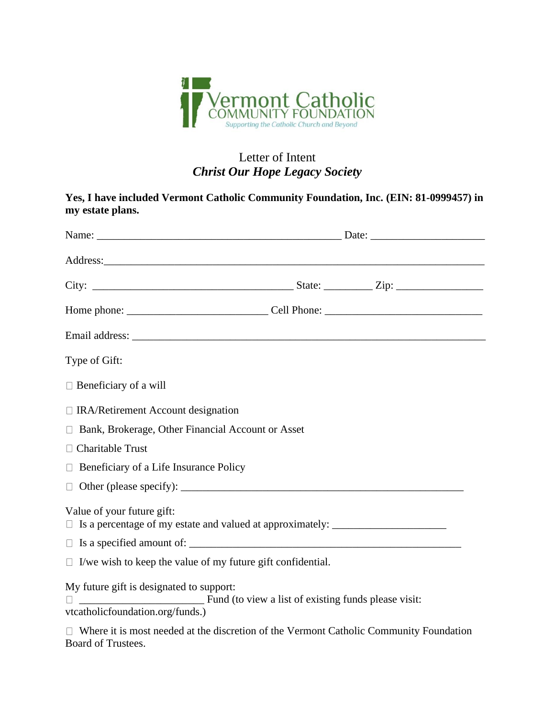

## Letter of Intent *Christ Our Hope Legacy Society*

|                  | Yes, I have included Vermont Catholic Community Foundation, Inc. (EIN: 81-0999457) in |  |
|------------------|---------------------------------------------------------------------------------------|--|
| my estate plans. |                                                                                       |  |

| Address:                                                                                                            |  |  |
|---------------------------------------------------------------------------------------------------------------------|--|--|
|                                                                                                                     |  |  |
|                                                                                                                     |  |  |
|                                                                                                                     |  |  |
| Type of Gift:                                                                                                       |  |  |
| $\Box$ Beneficiary of a will                                                                                        |  |  |
| $\Box$ IRA/Retirement Account designation                                                                           |  |  |
| □ Bank, Brokerage, Other Financial Account or Asset                                                                 |  |  |
| $\Box$ Charitable Trust                                                                                             |  |  |
| $\Box$ Beneficiary of a Life Insurance Policy                                                                       |  |  |
|                                                                                                                     |  |  |
| Value of your future gift:<br>□ Is a percentage of my estate and valued at approximately: ____________________      |  |  |
|                                                                                                                     |  |  |
| $\Box$ I/we wish to keep the value of my future gift confidential.                                                  |  |  |
| My future gift is designated to support:<br>vtcatholicfoundation.org/funds.)                                        |  |  |
| $\Box$ Where it is most needed at the discretion of the Vermont Catholic Community Foundation<br>Board of Trustees. |  |  |